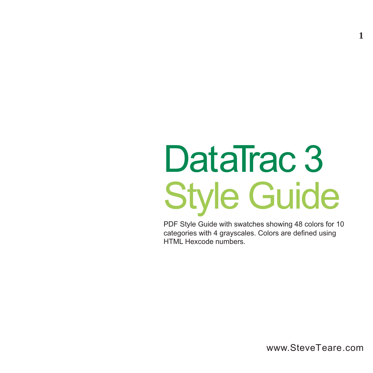# **DataTrac 3** Style Guide

PDF Style Guide with swatches showing 48 colors for 10 categories with 4 grayscales. Colors are defined using HTML Hexcode numbers.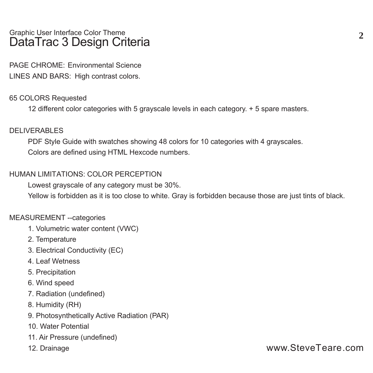#### Graphic User Interface Color Theme **DataTrac 3 Design Criteria**

**PAGE CHROME:** Environmental Science **LINES AND BARS:** High contrast colors.

#### **65 COLORS Requested**

12 different color categories with 5 grayscale levels in each category. + 5 spare masters.

#### **DELIVERABLES**

PDF Style Guide with swatches showing 48 colors for 10 categories with 4 grayscales. Colors are defined using HTML Hexcode numbers.

#### **HUMAN LIMITATIONS: COLOR PERCEPTION**

Lowest grayscale of any category must be 30%.

Yellow is forbidden as it is too close to white. Gray is forbidden because those are just tints of black.

#### **MEASUREMENT --categories**

- 1. Volumetric water content (VWC)
- 2. Temperature
- 3. Electrical Conductivity (EC)
- 4. Leaf Wetness
- 5. Precipitation
- 6. Wind speed
- 7. Radiation (undefined)
- 8. Humidity (RH)
- 9. Photosynthetically Active Radiation (PAR)
- 10. Water Potential
- 11. Air Pressure (undefined)
- 12. Drainage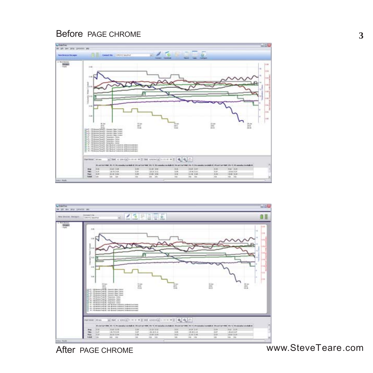#### **Before PAGE CHROME**





**After PAGE CHROME**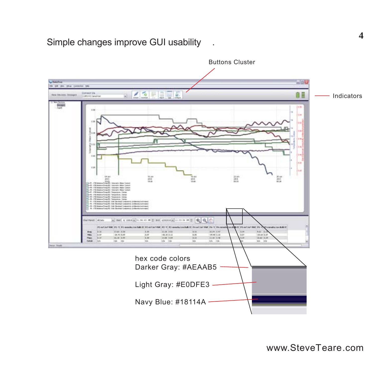## **Simple changes improve GUI usability .**

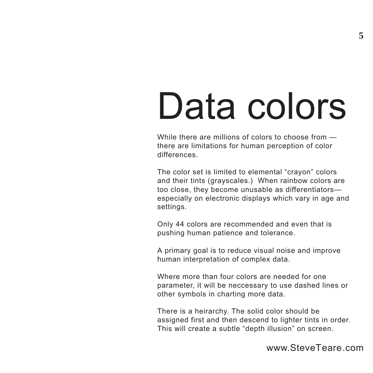## Data colors

While there are millions of colors to choose from there are limitations for human perception of color differences.

The color set is limited to elemental "crayon" colors and their tints (grayscales.) When rainbow colors are too close, they become unusable as differentiators especially on electronic displays which vary in age and settings.

Only 44 colors are recommended and even that is pushing human patience and tolerance.

A primary goal is to reduce visual noise and improve human interpretation of complex data.

Where more than four colors are needed for one parameter, it will be neccessary to use dashed lines or other symbols in charting more data.

There is a heirarchy. The solid color should be assigned first and then descend to lighter tints in order. This will create a subtle "depth illusion" on screen.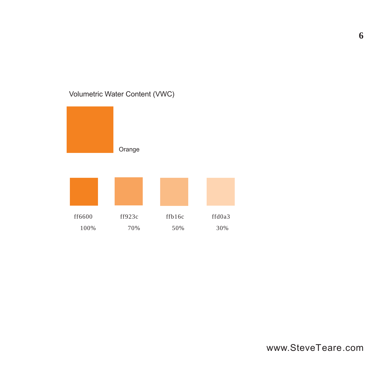## Volumetric Water Content (VWC)

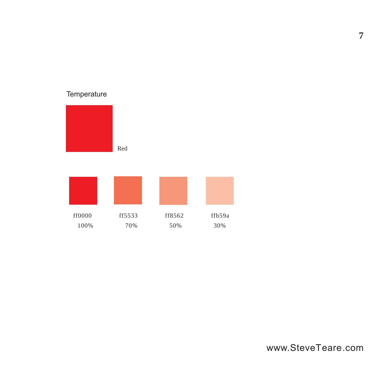## **Temperature**



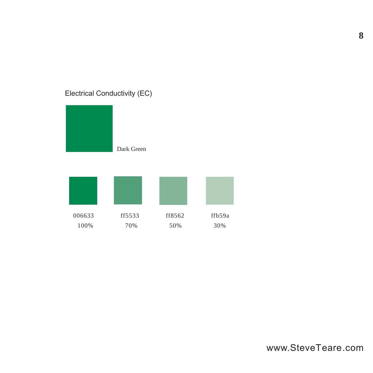## Electrical Conductivity (EC)



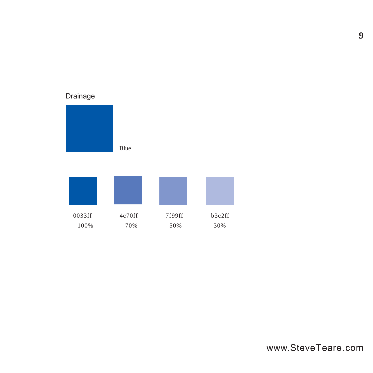## Drainage



0033ff 4c70ff 7f99ff b3c2ff 100% 70% 50% 30%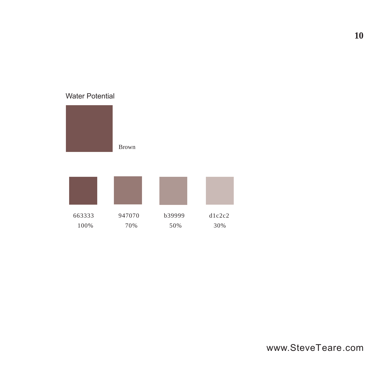#### Water Potential

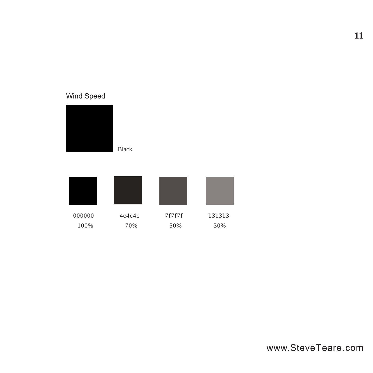## Wind Speed



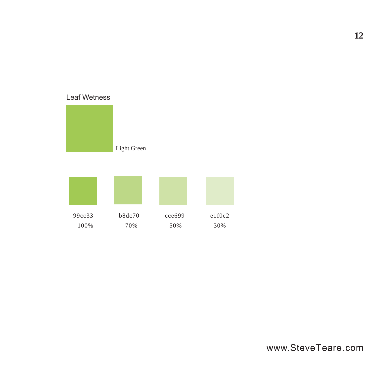#### Leaf Wetness



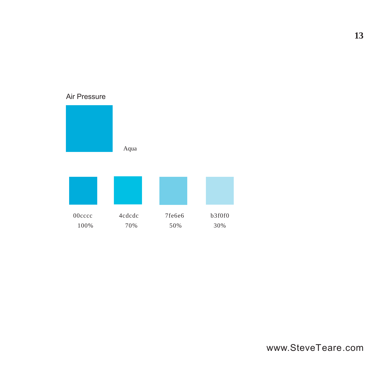#### Air Pressure



100% 70% 50% 30%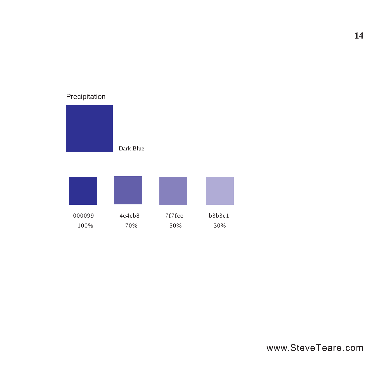#### Precipitation



000099 4c4cb8 7f7fcc b3b3e1 100% 70% 50% 30%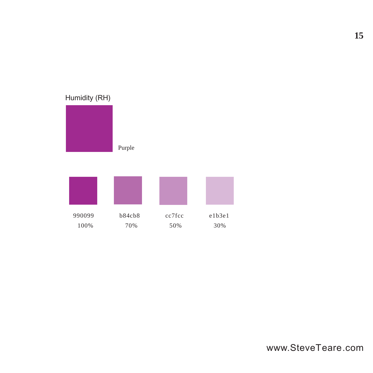## Purple 990099 b84cb8 cc7fcc e1b3e1 100% 70% 50% 30% Humidity (RH)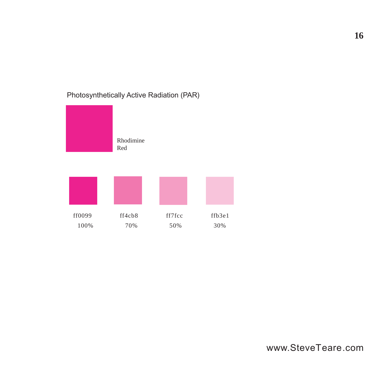

#### Photosynthetically Active Radiation (PAR)